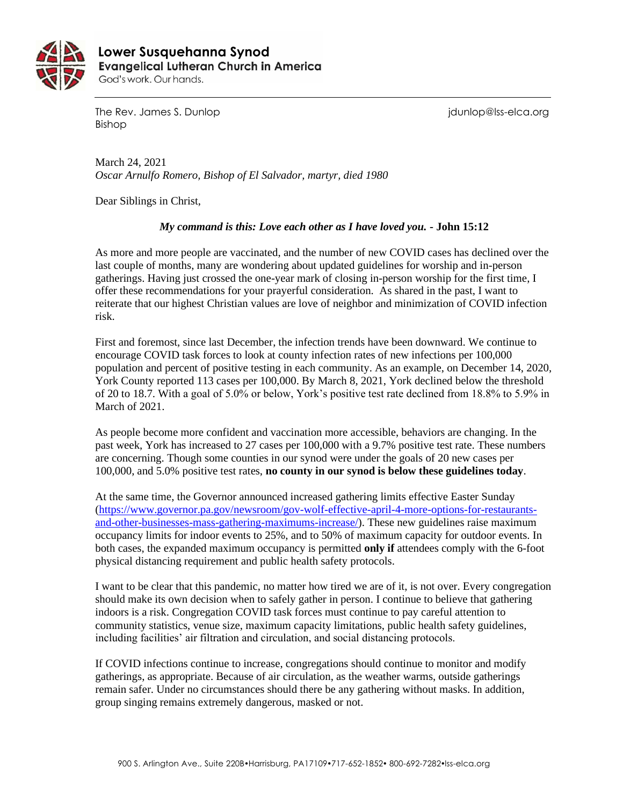

 **Lower Susquehanna SynodEvangelical Lutheran Church in America** God's work. Our hands.

The Rev. James S. Dunlop journalism is a series of the Rev. James S. Dunlop is a series of the Rev. James S. Dunlop Bishop

March 24, 2021 *Oscar Arnulfo Romero, Bishop of El Salvador, martyr, died 1980*

Dear Siblings in Christ,

## *My command is this: Love each other as I have loved you.* **- John 15:12**

As more and more people are vaccinated, and the number of new COVID cases has declined over the last couple of months, many are wondering about updated guidelines for worship and in-person gatherings. Having just crossed the one-year mark of closing in-person worship for the first time, I offer these recommendations for your prayerful consideration. As shared in the past, I want to reiterate that our highest Christian values are love of neighbor and minimization of COVID infection risk.

First and foremost, since last December, the infection trends have been downward. We continue to encourage COVID task forces to look at county infection rates of new infections per 100,000 population and percent of positive testing in each community. As an example, on December 14, 2020, York County reported 113 cases per 100,000. By March 8, 2021, York declined below the threshold of 20 to 18.7. With a goal of 5.0% or below, York's positive test rate declined from 18.8% to 5.9% in March of 2021.

As people become more confident and vaccination more accessible, behaviors are changing. In the past week, York has increased to 27 cases per 100,000 with a 9.7% positive test rate. These numbers are concerning. Though some counties in our synod were under the goals of 20 new cases per 100,000, and 5.0% positive test rates, **no county in our synod is below these guidelines today**.

At the same time, the Governor announced increased gathering limits effective Easter Sunday [\(https://www.governor.pa.gov/newsroom/gov-wolf-effective-april-4-more-options-for-restaurants](https://www.governor.pa.gov/newsroom/gov-wolf-effective-april-4-more-options-for-restaurants-and-other-businesses-mass-gathering-maximums-increase/)[and-other-businesses-mass-gathering-maximums-increase/\)](https://www.governor.pa.gov/newsroom/gov-wolf-effective-april-4-more-options-for-restaurants-and-other-businesses-mass-gathering-maximums-increase/). These new guidelines raise maximum occupancy limits for indoor events to 25%, and to 50% of maximum capacity for outdoor events. In both cases, the expanded maximum occupancy is permitted **only if** attendees comply with the 6-foot physical distancing requirement and public health safety protocols.

I want to be clear that this pandemic, no matter how tired we are of it, is not over. Every congregation should make its own decision when to safely gather in person. I continue to believe that gathering indoors is a risk. Congregation COVID task forces must continue to pay careful attention to community statistics, venue size, maximum capacity limitations, public health safety guidelines, including facilities' air filtration and circulation, and social distancing protocols.

If COVID infections continue to increase, congregations should continue to monitor and modify gatherings, as appropriate. Because of air circulation, as the weather warms, outside gatherings remain safer. Under no circumstances should there be any gathering without masks. In addition, group singing remains extremely dangerous, masked or not.